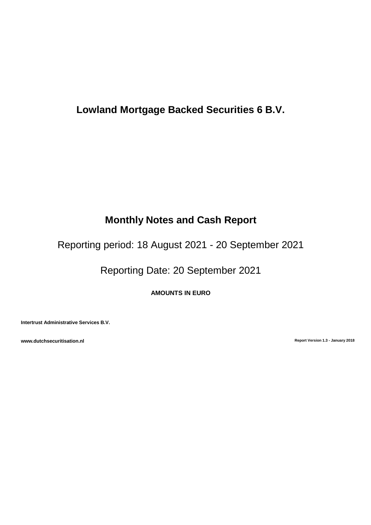# **Lowland Mortgage Backed Securities 6 B.V.**

# **Monthly Notes and Cash Report**

Reporting period: 18 August 2021 - 20 September 2021

Reporting Date: 20 September 2021

**AMOUNTS IN EURO**

**Intertrust Administrative Services B.V.**

**www.dutchsecuritisation.nl Report Version 1.3 - January 2018**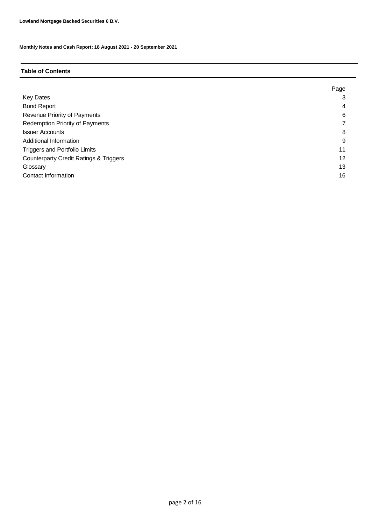## **Table of Contents**

|                                                   | Page |
|---------------------------------------------------|------|
| <b>Key Dates</b>                                  | 3    |
| <b>Bond Report</b>                                | 4    |
| Revenue Priority of Payments                      | 6    |
| <b>Redemption Priority of Payments</b>            |      |
| <b>Issuer Accounts</b>                            | 8    |
| Additional Information                            | 9    |
| <b>Triggers and Portfolio Limits</b>              | 11   |
| <b>Counterparty Credit Ratings &amp; Triggers</b> | 12   |
| Glossary                                          | 13   |
| Contact Information                               | 16   |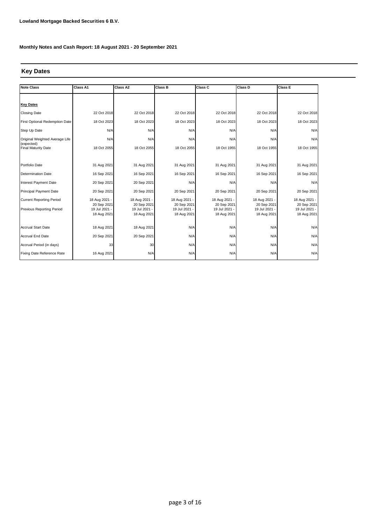## **Key Dates**

| <b>Note Class</b>                        | Class A1                     | Class A2                   | <b>Class B</b>               | Class C                      | Class D                      | <b>Class E</b>               |
|------------------------------------------|------------------------------|----------------------------|------------------------------|------------------------------|------------------------------|------------------------------|
|                                          |                              |                            |                              |                              |                              |                              |
| <b>Key Dates</b>                         |                              |                            |                              |                              |                              |                              |
| <b>Closing Date</b>                      | 22 Oct 2018                  | 22 Oct 2018                | 22 Oct 2018                  | 22 Oct 2018                  | 22 Oct 2018                  | 22 Oct 2018                  |
| First Optional Redemption Date           | 18 Oct 2023                  | 18 Oct 2023                | 18 Oct 2023                  | 18 Oct 2023                  | 18 Oct 2023                  | 18 Oct 2023                  |
| Step Up Date                             | N/A                          | N/A                        | N/A                          | N/A                          | N/A                          | N/A                          |
| Original Weighted Average Life           | N/A                          | N/A                        | N/A                          | N/A                          | N/A                          | N/A                          |
| (expected)<br><b>Final Maturity Date</b> | 18 Oct 2055                  | 18 Oct 2055                | 18 Oct 2055                  | 18 Oct 1955                  | 18 Oct 1955                  | 18 Oct 1955                  |
|                                          |                              |                            |                              |                              |                              |                              |
| Portfolio Date                           | 31 Aug 2021                  | 31 Aug 2021                | 31 Aug 2021                  | 31 Aug 2021                  | 31 Aug 2021                  | 31 Aug 2021                  |
| <b>Determination Date</b>                | 16 Sep 2021                  | 16 Sep 2021                | 16 Sep 2021                  | 16 Sep 2021                  | 16 Sep 2021                  | 16 Sep 2021                  |
| Interest Payment Date                    | 20 Sep 2021                  | 20 Sep 2021                | N/A                          | N/A                          | N/A                          | N/A                          |
| <b>Principal Payment Date</b>            | 20 Sep 2021                  | 20 Sep 2021                | 20 Sep 2021                  | 20 Sep 2021                  | 20 Sep 2021                  | 20 Sep 2021                  |
| <b>Current Reporting Period</b>          | 18 Aug 2021 -                | 18 Aug 2021                | 18 Aug 2021 -                | 18 Aug 2021 -                | 18 Aug 2021 -                | 18 Aug 2021 -                |
| Previous Reporting Period                | 20 Sep 2021<br>19 Jul 2021 · | 20 Sep 2021<br>19 Jul 2021 | 20 Sep 2021<br>19 Jul 2021 - | 20 Sep 2021<br>19 Jul 2021 - | 20 Sep 2021<br>19 Jul 2021 - | 20 Sep 2021<br>19 Jul 2021 - |
|                                          | 18 Aug 2021                  | 18 Aug 2021                | 18 Aug 2021                  | 18 Aug 2021                  | 18 Aug 2021                  | 18 Aug 2021                  |
|                                          |                              |                            |                              |                              |                              |                              |
| <b>Accrual Start Date</b>                | 18 Aug 2021                  | 18 Aug 2021                | N/A                          | N/A                          | N/A                          | N/A                          |
| <b>Accrual End Date</b>                  | 20 Sep 2021                  | 20 Sep 2021                | N/A                          | N/A                          | N/A                          | N/A                          |
| Accrual Period (in days)                 | 33                           | 30                         | N/A                          | N/A                          | N/A                          | N/A                          |
| Fixing Date Reference Rate               | 16 Aug 2021                  | N/A                        | N/A                          | N/A                          | N/A                          | N/A                          |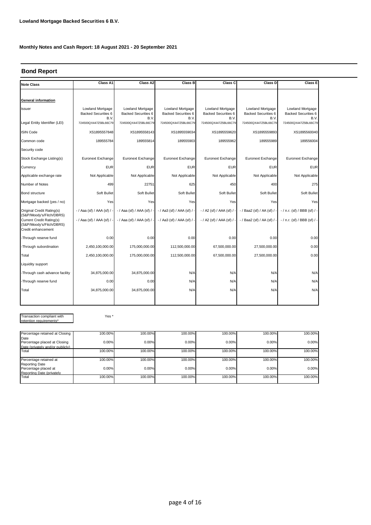## **Bond Report**

| <b>Note Class</b>                                                          | Class A1                                               | Class A2                                               | Class B                                                | Class C                                         | Class D                                                     | Class E                                         |
|----------------------------------------------------------------------------|--------------------------------------------------------|--------------------------------------------------------|--------------------------------------------------------|-------------------------------------------------|-------------------------------------------------------------|-------------------------------------------------|
|                                                                            |                                                        |                                                        |                                                        |                                                 |                                                             |                                                 |
| General information                                                        |                                                        |                                                        |                                                        |                                                 |                                                             |                                                 |
| Issuer                                                                     | Lowland Mortgage<br><b>Backed Securities 6</b><br>B.V. | Lowland Mortgage<br><b>Backed Securities 6</b><br>B.V. | Lowland Mortgage<br><b>Backed Securities 6</b><br>B.V. | Lowland Mortgage<br>Backed Securities 6<br>B.V. | Lowland Mortgage<br><b>Backed Securities 6</b><br>B.V.      | Lowland Mortgage<br>Backed Securities 6<br>B.V. |
| Legal Entity Identifier (LEI)                                              | 724500QX447Z5BL66C79                                   | 724500QX447Z5BL66C79                                   | 724500QX447Z5BL66C79                                   | 724500QX447Z5BL66C79                            | 724500QX447Z5BL66C79                                        | 724500QX447Z5BL66C79                            |
| <b>ISIN Code</b>                                                           | XS1895557848                                           | XS1895558143                                           | XS1895559034                                           | XS1895559620                                    | XS1895559893                                                | XS1895560040                                    |
| Common code                                                                | 189555784                                              | 189555814                                              | 189555903                                              | 189555962                                       | 189555989                                                   | 189556004                                       |
| Security code                                                              |                                                        |                                                        |                                                        |                                                 |                                                             |                                                 |
| Stock Exchange Listing(s)                                                  | Euronext Exchange                                      | Euronext Exchange                                      | Euronext Exchange                                      | Euronext Exchange                               | Euronext Exchange                                           | Euronext Exchange                               |
| Currency                                                                   | <b>EUR</b>                                             | <b>EUR</b>                                             | <b>EUR</b>                                             | <b>EUR</b>                                      | <b>EUR</b>                                                  | <b>EUR</b>                                      |
| Applicable exchange rate                                                   | Not Applicable                                         | Not Applicable                                         | Not Applicable                                         | Not Applicable                                  | Not Applicable                                              | Not Applicable                                  |
| Number of Notes                                                            | 499                                                    | 22751                                                  | 625                                                    | 450                                             | 400                                                         | 275                                             |
| Bond structure                                                             | Soft Bullet                                            | Soft Bullet                                            | Soft Bullet                                            | Soft Bullet                                     | Soft Bullet                                                 | Soft Bullet                                     |
| Mortgage backed (yes / no)                                                 | Yes                                                    | Yes                                                    | Yes                                                    | Yes                                             | Yes                                                         | Yes                                             |
| Original Credit Rating(s)<br>(S&P/Moody's/Fitch/DBRS)                      | - / Aaa (sf) / AAA (sf) / -                            | $-$ / Aaa (sf) / AAA (sf) /                            | - / Aa3 (sf) / AAA (sf) / -                            |                                                 | $-$ / A2 (sf) / AAA (sf) / $ -$ / Baa2 (sf) / AA (sf) / $-$ | $-$ / n.r. (sf) / BBB (sf) / -                  |
| Current Credit Rating(s)<br>(S&P/Moody's/Fitch/DBRS)<br>Credit enhancement | - / Aaa (sf) / AAA (sf) / -                            | $-$ / Aaa (sf) / AAA (sf) /                            | - / Aa3 (sf) / AAA (sf) / -                            | - / A2 (sf) / AAA (sf) / -                      | - / Baa2 (sf) / AA (sf) / -                                 | -/ n.r. (sf) / BBB (sf) / -                     |
| -Through reserve fund                                                      | 0.00                                                   | 0.00                                                   | 0.00                                                   | 0.00                                            | 0.00                                                        | 0.00                                            |
| -Through subordination                                                     | 2,450,100,000.00                                       | 175,000,000.00                                         | 112,500,000.00                                         | 67,500,000.00                                   | 27,500,000.00                                               | 0.00                                            |
| Total                                                                      | 2,450,100,000.00                                       | 175,000,000.00                                         | 112,500,000.00                                         | 67,500,000.00                                   | 27,500,000.00                                               | 0.00                                            |
| Liquidity support                                                          |                                                        |                                                        |                                                        |                                                 |                                                             |                                                 |
| -Through cash advance facility                                             | 34,875,000.00                                          | 34,875,000.00                                          | N/A                                                    | N/A                                             | N/A                                                         | N/A                                             |
| -Through reserve fund                                                      | 0.00                                                   | 0.00                                                   | N/A                                                    | N/A                                             | N/A                                                         | N/A                                             |
| Total                                                                      | 34,875,000.00                                          | 34,875,000.00                                          | N/A                                                    | N/A                                             | N/A                                                         | N/A                                             |
|                                                                            |                                                        |                                                        |                                                        |                                                 |                                                             |                                                 |

Transaction compliant with retention requirements\*

Yes \*

| Percentage retained at Closing         | 100.00% | 100.00% | 100.00% | 100.00% | 100.00% | 100.00% |
|----------------------------------------|---------|---------|---------|---------|---------|---------|
| Date<br>Percentage placed at Closing   | 0.00%   | 0.00%   | 0.00%   | 0.00%   | 0.00%   | 0.00%   |
| Date (privately and/or publicly)       |         |         |         |         |         |         |
| Total                                  | 100.00% | 100.00% | 100.00% | 100.00% | 100.00% | 100.00% |
| Percentage retained at                 | 100.00% | 100.00% | 100.00% | 100.00% | 100.00% | 100.00% |
| Reporting Date<br>Percentage placed at | 0.00%   | 0.00%   | 0.00%   | 0.00%   | 0.00%   | 0.00%   |
| Reporting Date (privately              |         |         |         |         |         |         |
| Total                                  | 100.00% | 100.00% | 100.00% | 100.00% | 100.00% | 100.00% |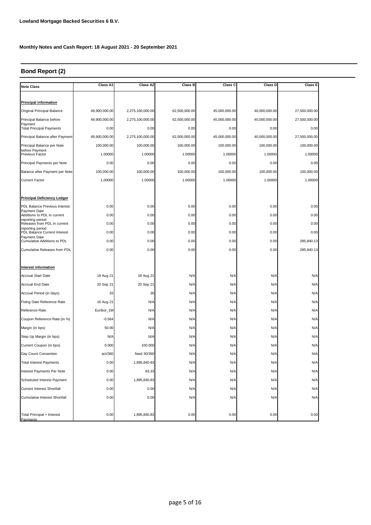## **Bond Report (2)**

| <b>Note Class</b>                                  | Class A1      | Class A2         | Class B       | Class C       | Class D       | <b>Class E</b> |
|----------------------------------------------------|---------------|------------------|---------------|---------------|---------------|----------------|
|                                                    |               |                  |               |               |               |                |
| <b>Principal information</b>                       |               |                  |               |               |               |                |
| Original Principal Balance                         | 49,900,000.00 | 2,275,100,000.00 | 62,500,000.00 | 45,000,000.00 | 40,000,000.00 | 27,500,000.00  |
| Principal Balance before<br>Payment                | 49,900,000.00 | 2,275,100,000.00 | 62,500,000.00 | 45,000,000.00 | 40,000,000.00 | 27,500,000.00  |
| <b>Total Principal Payments</b>                    | 0.00          | 0.00             | 0.00          | 0.00          | 0.00          | 0.00           |
| Principal Balance after Payment                    | 49,900,000.00 | 2,275,100,000.00 | 62,500,000.00 | 45,000,000.00 | 40,000,000.00 | 27,500,000.00  |
| Principal Balance per Note                         | 100,000.00    | 100,000.00       | 100,000.00    | 100,000.00    | 100,000.00    | 100,000.00     |
| before Payment<br>Previous Factor                  | 1.00000       | 1.00000          | 1.00000       | 1.00000       | 1.00000       | 1.00000        |
| Principal Payments per Note                        | 0.00          | 0.00             | 0.00          | 0.00          | 0.00          | 0.00           |
| Balance after Payment per Note                     | 100,000.00    | 100,000.00       | 100,000.00    | 100,000.00    | 100,000.00    | 100,000.00     |
| <b>Current Factor</b>                              | 1.00000       | 1.00000          | 1.00000       | 1.00000       | 1.00000       | 1.00000        |
|                                                    |               |                  |               |               |               |                |
| <b>Principal Deficiency Ledger</b>                 |               |                  |               |               |               |                |
| PDL Balance Previous Interest                      | 0.00          | 0.00             | 0.00          | 0.00          | 0.00          | 0.00           |
| Payment Date<br>Additions to PDL in current        | 0.00          | 0.00             | 0.00          | 0.00          | 0.00          | 0.00           |
| reporting period<br>Releases from PDL in current   | 0.00          | 0.00             | 0.00          | 0.00          | 0.00          | 0.00           |
| reporting period<br>PDL Balance Current Interest   | 0.00          | 0.00             | 0.00          | 0.00          | 0.00          | 0.00           |
| Payment Date<br><b>Cumulative Additions to PDL</b> | 0.00          | 0.00             | 0.00          | 0.00          | 0.00          | 285,840.13     |
| Cumulative Releases from PDL                       | 0.00          | 0.00             | 0.00          | 0.00          | 0.00          | 285,840.13     |
|                                                    |               |                  |               |               |               |                |
| Interest information                               |               |                  |               |               |               |                |
| <b>Accrual Start Date</b>                          | 18 Aug 21     | 18 Aug 21        | N/A           | N/A           | N/A           | N/A            |
| Accrual End Date                                   | 20 Sep 21     | 20 Sep 21        | N/A           | N/A           | N/A           | N/A            |
| Accrual Period (in days)                           | 33            | 30               | N/A           | N/A           | N/A           | N/A            |
| Fixing Date Reference Rate                         | 16 Aug 21     | N/A              | N/A           | N/A           | N/A           | N/A            |
| Reference Rate                                     | Euribor_1M    | N/A              | N/A           | N/A           | N/A           | N/A            |
| Coupon Reference Rate (in %)                       | $-0.564$      | N/A              | N/A           | N/A           | N/A           | N/A            |
| Margin (in bps)                                    | 50.00         | N/A              | N/A           | N/A           | N/A           | N/A            |
| Step Up Margin (in bps)                            | N/A           | N/A              | N/A           | N/A           | N/A           | N/A            |
| Current Coupon (in bps)                            | 0.000         | 100.000          | N/A           | N/A           | N/A           | N/A            |
| Day Count Convention                               | act/360       | fixed 30/360     | N/A           | N/A           | N/A           | N/A            |
| <b>Total Interest Payments</b>                     | 0.00          | 1,895,840.83     | N/A           | N/A           | N/A           | N/A            |
| Interest Payments Per Note                         | 0.00          | 83.33            | N/A           | N/A           | N/A           | N/A            |
| Scheduled Interest Payment                         | 0.00          | 1,895,840.83     | N/A           | N/A           | N/A           | N/A            |
| <b>Current Interest Shortfall</b>                  | 0.00          | 0.00             | N/A           | N/A           | N/A           | N/A            |
| <b>Cumulative Interest Shortfall</b>               | 0.00          | 0.00             | N/A           | N/A           | N/A           | N/A            |
|                                                    |               |                  |               |               |               |                |
| Total Principal + Interest                         | 0.00          | 1,895,840.83     | 0.00          | 0.00          | 0.00          | 0.00           |
| Payments                                           |               |                  |               |               |               |                |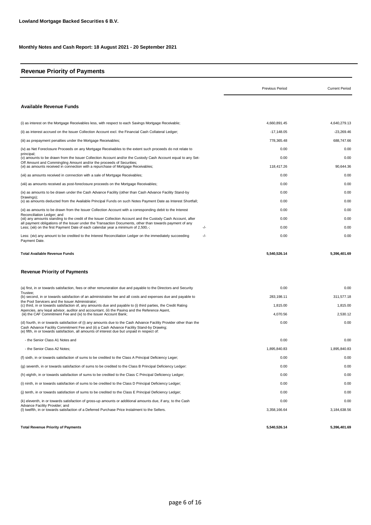## **Revenue Priority of Payments**

|                                                                                                                                                                                                                                                                                                               | <b>Previous Period</b> | <b>Current Period</b> |
|---------------------------------------------------------------------------------------------------------------------------------------------------------------------------------------------------------------------------------------------------------------------------------------------------------------|------------------------|-----------------------|
| <b>Available Revenue Funds</b>                                                                                                                                                                                                                                                                                |                        |                       |
| (i) as interest on the Mortgage Receivables less, with respect to each Savings Mortgage Receivable;                                                                                                                                                                                                           | 4,660,891.45           | 4,640,279.13          |
| (ii) as interest accrued on the Issuer Collection Account excl. the Financial Cash Collateral Ledger;                                                                                                                                                                                                         | $-17,148.05$           | $-23,269.46$          |
| (iii) as prepayment penalties under the Mortgage Receivables;                                                                                                                                                                                                                                                 | 778,365.48             | 688,747.66            |
| (iv) as Net Foreclosure Proceeds on any Mortgage Receivables to the extent such proceeds do not relate to                                                                                                                                                                                                     | 0.00                   | 0.00                  |
| principal;<br>(v) amounts to be drawn from the Issuer Collection Account and/or the Custody Cash Account equal to any Set-                                                                                                                                                                                    | 0.00                   | 0.00                  |
| Off Amount and Commingling Amount and/or the proceeds of Securities:<br>(vi) as amounts received in connection with a repurchase of Mortgage Receivables;                                                                                                                                                     | 118,417.26             | 90.644.36             |
| (vii) as amounts received in connection with a sale of Mortgage Receivables;                                                                                                                                                                                                                                  | 0.00                   | 0.00                  |
| (viii) as amounts received as post-foreclosure proceeds on the Mortgage Receivables;                                                                                                                                                                                                                          | 0.00                   | 0.00                  |
| (ix) as amounts to be drawn under the Cash Advance Facility (other than Cash Advance Facility Stand-by                                                                                                                                                                                                        | 0.00                   | 0.00                  |
| Drawings);<br>(x) as amounts deducted from the Available Principal Funds on such Notes Payment Date as Interest Shortfall;                                                                                                                                                                                    | 0.00                   | 0.00                  |
| (xi) as amounts to be drawn from the Issuer Collection Account with a corresponding debit to the Interest                                                                                                                                                                                                     | 0.00                   | 0.00                  |
| Reconciliation Ledger; and<br>(xii) any amounts standing to the credit of the Issuer Collection Account and the Custody Cash Account, after                                                                                                                                                                   | 0.00                   | 0.00                  |
| all payment obligations of the Issuer under the Transaction Documents, other than towards payment of any<br>Less; (xiii) on the first Payment Date of each calendar year a minimum of 2,500,-;<br>-/-                                                                                                         | 0.00                   | 0.00                  |
| Less: (xiv) any amount to be credited to the Interest Reconciliation Ledger on the immediately succeeding<br>-/-<br>Payment Date.                                                                                                                                                                             | 0.00                   | 0.00                  |
| <b>Total Available Revenue Funds</b><br><b>Revenue Priority of Payments</b>                                                                                                                                                                                                                                   | 5,540,526.14           | 5,396,401.69          |
|                                                                                                                                                                                                                                                                                                               |                        |                       |
| (a) first, in or towards satisfaction, fees or other remuneration due and payable to the Directors and Security<br>Trustee:                                                                                                                                                                                   | 0.00                   | 0.00                  |
| (b) second, in or towards satisfaction of an administration fee and all costs and expenses due and payable to<br>the Pool Servicers and the Issuer Administrator;                                                                                                                                             | 283,198.11             | 311,577.18            |
| (c) third, in or towards satisfaction of, any amounts due and payable to (i) third parties, the Credit Rating<br>Agencies, any legal advisor, auditor and accountant, (ii) the Paying and the Reference Agent,                                                                                                | 1,815.00               | 1,815.00              |
| (iii) the CAF Commitment Fee and (iv) to the Issuer Account Bank;                                                                                                                                                                                                                                             | 4,070.56               | 2,530.12              |
| (d) fourth, in or towards satisfaction of (i) any amounts due to the Cash Advance Facility Provider other than the<br>Cash Advance Facility Commitment Fee and (ii) a Cash Advance Facility Stand-by Drawing;<br>(e) fifth, in or towards satisfaction, all amounts of interest due but unpaid in respect of: | 0.00                   | 0.00                  |
| - the Senior Class A1 Notes and                                                                                                                                                                                                                                                                               | 0.00                   | 0.00                  |
| - the Senior Class A2 Notes;                                                                                                                                                                                                                                                                                  | 1,895,840.83           | 1,895,840.83          |
| (f) sixth, in or towards satisfaction of sums to be credited to the Class A Principal Deficiency Leger;                                                                                                                                                                                                       | 0.00                   | 0.00                  |
| (g) seventh, in or towards satisfaction of sums to be credited to the Class B Principal Deficiency Ledger:                                                                                                                                                                                                    | 0.00                   | 0.00                  |
| (h) eighth, in or towards satisfaction of sums to be credited to the Class C Principal Deficiency Ledger;                                                                                                                                                                                                     | 0.00                   | 0.00                  |
| (i) ninth, in or towards satisfaction of sums to be credited to the Class D Principal Deficiency Ledger;                                                                                                                                                                                                      | 0.00                   | 0.00                  |
| (j) tenth, in or towards satisfaction of sums to be credited to the Class E Principal Deficiency Ledger;                                                                                                                                                                                                      | 0.00                   | 0.00                  |
| (k) eleventh, in or towards satisfaction of gross-up amounts or additional amounts due, if any, to the Cash                                                                                                                                                                                                   | 0.00                   | 0.00                  |
| Advance Facility Provider; and<br>(I) twelfth, in or towards satisfaction of a Deferred Purchase Price Instalment to the Sellers.                                                                                                                                                                             | 3,358,166.64           | 3,184,638.56          |
| <b>Total Revenue Priority of Payments</b>                                                                                                                                                                                                                                                                     | 5,540,526.14           | 5,396,401.69          |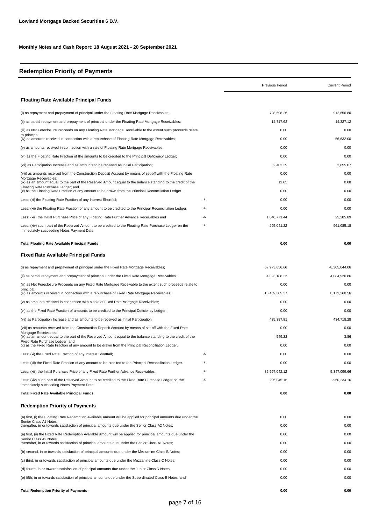# **Redemption Priority of Payments**

|                                                                                                                                                                                                                                                |     | Previous Period | <b>Current Period</b> |
|------------------------------------------------------------------------------------------------------------------------------------------------------------------------------------------------------------------------------------------------|-----|-----------------|-----------------------|
| <b>Floating Rate Available Principal Funds</b>                                                                                                                                                                                                 |     |                 |                       |
| (i) as repayment and prepayment of principal under the Floating Rate Mortgage Receivables;                                                                                                                                                     |     | 728.598.26      | 912.656.80            |
| (ii) as partial repayment and prepayment of principal under the Floating Rate Mortgage Receivables;                                                                                                                                            |     | 14,717.62       | 14,327.12             |
| (iii) as Net Foreclosure Proceeds on any Floating Rate Mortgage Receivable to the extent such proceeds relate<br>to principal;                                                                                                                 |     | 0.00            | 0.00                  |
| (iv) as amounts received in connection with a repurchase of Floating Rate Mortgage Receivables;                                                                                                                                                |     | 0.00            | 56.632.00             |
| (v) as amounts received in connection with a sale of Floating Rate Mortgage Receivables;                                                                                                                                                       |     | 0.00            | 0.00                  |
| (vi) as the Floating Rate Fraction of the amounts to be credited to the Principal Deficiency Ledger;                                                                                                                                           |     | 0.00            | 0.00                  |
| (vii) as Participation Increase and as amounts to be received as Initial Participation;                                                                                                                                                        |     | 2,402.29        | 2,855.07              |
| (viii) as amounts received from the Construction Deposit Account by means of set-off with the Floating Rate<br>Mortgage Receivables;                                                                                                           |     | 0.00            | 0.00                  |
| (ix) as an amount equal to the part of the Reserved Amount equal to the balance standing to the credit of the<br>Floating Rate Purchase Ledger; and                                                                                            |     | 12.05           | 0.08                  |
| (x) as the Floating Rate Fraction of any amount to be drawn from the Principal Reconciliation Ledger.                                                                                                                                          |     | 0.00            | 0.00                  |
| Less: (xi) the Floating Rate Fraction of any Interest Shortfall;                                                                                                                                                                               | -/- | 0.00            | 0.00                  |
| Less: (xii) the Floating Rate Fraction of any amount to be credited to the Principal Reconciliation Ledger;                                                                                                                                    | -/- | 0.00            | 0.00                  |
| Less: (xiii) the Initial Purchase Price of any Floating Rate Further Advance Receivables and                                                                                                                                                   | -/- | 1,040,771.44    | 25,385.89             |
| Less: (xiv) such part of the Reserved Amount to be credited to the Floating Rate Purchase Ledger on the<br>immediately succeeding Notes Payment Date.                                                                                          | -/- | $-295,041.22$   | 961,085.18            |
| <b>Total Floating Rate Available Principal Funds</b>                                                                                                                                                                                           |     | 0.00            | 0.00                  |
| Fixed Rate Available Principal Funds                                                                                                                                                                                                           |     |                 |                       |
| (i) as repayment and prepayment of principal under the Fixed Rate Mortgage Receivables;                                                                                                                                                        |     | 67,973,656.66   | $-8,305,044.06$       |
| (ii) as partial repayment and prepayment of principal under the Fixed Rate Mortgage Receivables;                                                                                                                                               |     | 4,023,188.22    | 4,084,926.86          |
| (iii) as Net Foreclosure Proceeds on any Fixed Rate Mortgage Receivable to the extent such proceeds relate to                                                                                                                                  |     | 0.00            | 0.00                  |
| principal;<br>(iv) as amounts received in connection with a repurchase of Fixed Rate Mortgage Receivables;                                                                                                                                     |     | 13,459,305.37   | 8,172,260.56          |
| (v) as amounts received in connection with a sale of Fixed Rate Mortgage Receivables;                                                                                                                                                          |     | 0.00            | 0.00                  |
| (vi) as the Fixed Rate Fraction of amounts to be credited to the Principal Deficiency Ledger;                                                                                                                                                  |     | 0.00            | 0.00                  |
| (vii) as Participation Increase and as amounts to be received as Initial Participation                                                                                                                                                         |     | 435,387.81      | 434,718.28            |
| (viii) as amounts received from the Construction Deposit Account by means of set-off with the Fixed Rate                                                                                                                                       |     | 0.00            | 0.00                  |
| Mortgage Receivables;<br>(ix) as an amount equal to the part of the Reserved Amount equal to the balance standing to the credit of the                                                                                                         |     | 549.22          | 3.86                  |
| Fixed Rate Purchase Ledger; and<br>(x) as the Fixed Rate Fraction of any amount to be drawn from the Principal Reconciliation Ledger.                                                                                                          |     | 0.00            | 0.00                  |
| Less: (xi) the Fixed Rate Fraction of any Interest Shortfall;                                                                                                                                                                                  | -/- | 0.00            | 0.00                  |
| Less: (xii) the Fixed Rate Fraction of any amount to be credited to the Principal Reconciliation Ledger.                                                                                                                                       | -/- | 0.00            | 0.00                  |
| Less: (xiii) the Initial Purchase Price of any Fixed Rate Further Advance Receivables.                                                                                                                                                         | -/- | 85,597,042.12   | 5,347,099.66          |
| Less: (xiv) such part of the Reserved Amount to be credited to the Fixed Rate Purchase Ledger on the<br>immediately succeeding Notes Payment Date.                                                                                             | -/- | 295,045.16      | $-960,234.16$         |
| <b>Total Fixed Rate Available Principal Funds</b>                                                                                                                                                                                              |     | 0.00            | 0.00                  |
| <b>Redemption Priority of Payments</b>                                                                                                                                                                                                         |     |                 |                       |
| (a) first, (i) the Floating Rate Redemption Available Amount will be applied for principal amounts due under the<br>Senior Class A1 Notes;<br>thereafter, in or towards satisfaction of principal amounts due under the Senior Class A2 Notes; |     | 0.00<br>0.00    | 0.00<br>0.00          |
| (a) first, (ii) the Fixed Rate Redemption Available Amount will be applied for principal amounts due under the                                                                                                                                 |     | 0.00            | 0.00                  |
| Senior Class A2 Notes;<br>thereafter, in or towards satisfaction of principal amounts due under the Senior Class A1 Notes;                                                                                                                     |     | 0.00            | 0.00                  |
| (b) second, in or towards satisfaction of principal amounts due under the Mezzanine Class B Notes;                                                                                                                                             |     | 0.00            | 0.00                  |
| (c) third, in or towards satisfaction of principal amounts due under the Mezzanine Class C Notes;                                                                                                                                              |     | 0.00            | 0.00                  |
| (d) fourth, in or towards satisfaction of principal amounts due under the Junior Class D Notes;                                                                                                                                                |     | 0.00            | 0.00                  |
| (e) fifth, in or towards satisfaction of principal amounts due under the Subordinated Class E Notes; and                                                                                                                                       |     | 0.00            | 0.00                  |
| <b>Total Redemption Priority of Payments</b>                                                                                                                                                                                                   |     | 0.00            | 0.00                  |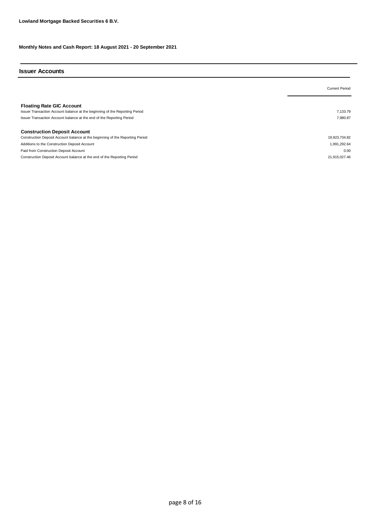# **Issuer Accounts**

|                                                                                                                                                                                          | <b>Current Period</b> |
|------------------------------------------------------------------------------------------------------------------------------------------------------------------------------------------|-----------------------|
| <b>Floating Rate GIC Account</b><br>Issuer Transaction Account balance at the beginning of the Reporting Period<br>Issuer Transaction Account balance at the end of the Reporting Period | 7.133.79<br>7.980.87  |
| <b>Construction Deposit Account</b>                                                                                                                                                      |                       |
| Construction Deposit Account balance at the beginning of the Reporting Period                                                                                                            | 19,923,734.82         |
| Additions to the Construction Deposit Account                                                                                                                                            | 1,991,292.64          |
| Paid from Construction Deposit Account                                                                                                                                                   | 0.00                  |
| Construction Deposit Account balance at the end of the Reporting Period                                                                                                                  | 21.915.027.46         |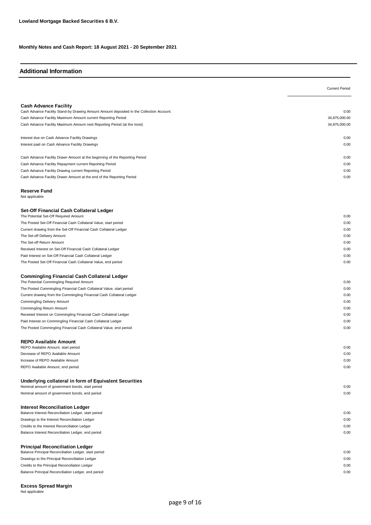## **Additional Information**

|                                                                                                            | <b>Current Period</b> |
|------------------------------------------------------------------------------------------------------------|-----------------------|
|                                                                                                            |                       |
| <b>Cash Advance Facility</b>                                                                               |                       |
| Cash Advance Facility Stand-by Drawing Amount Amount deposited in the Collection Account:                  | 0.00                  |
| Cash Advance Facility Maximum Amount current Reporting Period                                              | 34,875,000.00         |
| Cash Advance Facility Maximum Amount next Reporting Period (at the most)                                   | 34,875,000.00         |
| Interest due on Cash Advance Facility Drawings                                                             | 0.00                  |
| Interest paid on Cash Advance Facility Drawings                                                            | 0.00                  |
| Cash Advance Facility Drawn Amount at the beginning of the Reporting Period                                | 0.00                  |
| Cash Advance Facility Repayment current Reporting Period                                                   | 0.00                  |
| Cash Advance Facility Drawing current Reporting Period                                                     | 0.00                  |
| Cash Advance Facility Drawn Amount at the end of the Reporting Period                                      | 0.00                  |
| <b>Reserve Fund</b>                                                                                        |                       |
| Not applicable                                                                                             |                       |
| Set-Off Financial Cash Collateral Ledger                                                                   |                       |
| The Potential Set-Off Required Amount                                                                      | 0.00                  |
| The Posted Set-Off Financial Cash Collateral Value, start period                                           | 0.00                  |
| Current drawing from the Set-Off Financial Cash Collateral Ledger                                          | 0.00                  |
| The Set-off Delivery Amount                                                                                | 0.00                  |
| The Set-off Return Amount                                                                                  | 0.00                  |
| Received Interest on Set-Off Financial Cash Collateral Ledger                                              | 0.00                  |
| Paid Interest on Set-Off Financial Cash Collateral Ledger                                                  | 0.00                  |
| The Posted Set-Off Financial Cash Collateral Value, end period                                             | 0.00                  |
| <b>Commingling Financial Cash Collateral Ledger</b>                                                        |                       |
| The Potential Commingling Required Amount                                                                  | 0.00                  |
| The Posted Commingling Financial Cash Collateral Value, start period                                       | 0.00                  |
| Current drawing from the Commingling Financial Cash Collateral Ledger                                      | 0.00                  |
| Commingling Delivery Amount                                                                                | 0.00                  |
| Commingling Return Amount                                                                                  | 0.00                  |
| Received Interest on Commingling Financial Cash Collateral Ledger                                          | 0.00                  |
| Paid Interest on Commingling Financial Cash Collateral Ledger                                              | 0.00                  |
| The Posted Commingling Financial Cash Collateral Value, end period                                         | 0.00                  |
| <b>REPO Available Amount</b>                                                                               |                       |
| REPO Available Amount, start period                                                                        | 0.00                  |
| Decrease of REPO Available Amount                                                                          | 0.00                  |
| Increase of REPO Available Amount                                                                          | 0.00                  |
| REPO Available Amount, end period                                                                          | 0.00                  |
| Underlying collateral in form of Equivalent Securities<br>Nominal amount of government bonds, start period | 0.00                  |
| Nominal amount of government bonds, end period                                                             | 0.00                  |
| <b>Interest Reconciliation Ledger</b>                                                                      |                       |
| Balance Interest Reconciliation Ledger, start period                                                       | 0.00                  |
| Drawings to the Interest Reconciliation Ledger                                                             | 0.00                  |
| Credits to the Interest Reconciliation Ledger                                                              | 0.00                  |
| Balance Interest Reconciliation Ledger, end period                                                         | 0.00                  |
| <b>Principal Reconciliation Ledger</b>                                                                     |                       |
| Balance Principal Reconciliation Ledger, start period                                                      | 0.00                  |
| Drawings to the Principal Reconciliation Ledger                                                            | 0.00                  |
| Credits to the Principal Reconciliation Ledger                                                             | 0.00                  |
| Balance Principal Reconciliation Ledger, end period                                                        | 0.00                  |
|                                                                                                            |                       |

**Excess Spread Margin** Not applicable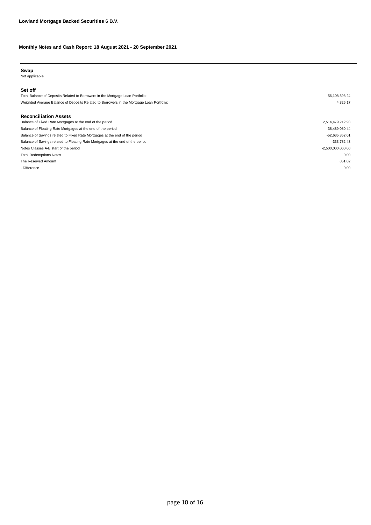#### **Swap**

Not applicable

#### **Set off**

Total Balance of Deposits Related to Borrowers in the Mortgage Loan Portfolio: 56,108,598.24 Weighted Average Balance of Deposits Related to Borrowers in the Mortgage Loan Portfolio: 4,325.17

#### **Reconciliation Assets**

| Balance of Fixed Rate Mortgages at the end of the period                       | 2,514,479,212.98    |
|--------------------------------------------------------------------------------|---------------------|
| Balance of Floating Rate Mortgages at the end of the period                    | 38,489,080.44       |
| Balance of Savings related to Fixed Rate Mortgages at the end of the period    | -52,635,362.01      |
| Balance of Savings related to Floating Rate Mortgages at the end of the period | $-333.782.43$       |
| Notes Classes A-E start of the period                                          | $-2,500,000,000.00$ |
| <b>Total Redemptions Notes</b>                                                 | 0.00                |
| The Reserved Amount                                                            | 851.02              |
| - Difference                                                                   | 0.00                |
|                                                                                |                     |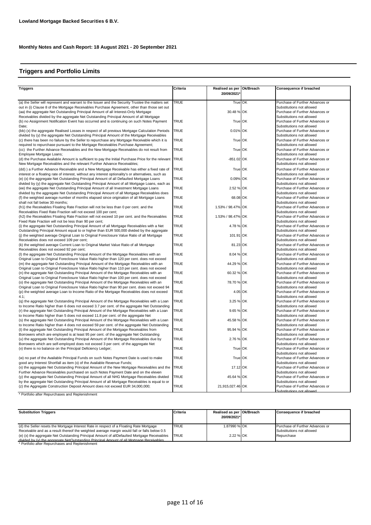## **Triggers and Portfolio Limits**

| <b>Triggers</b>                                                                                                                                                                            | Criteria    | Realised as per Ok/Breach | <b>Consequence if breached</b>                               |
|--------------------------------------------------------------------------------------------------------------------------------------------------------------------------------------------|-------------|---------------------------|--------------------------------------------------------------|
|                                                                                                                                                                                            |             | 20/09/2021                |                                                              |
| (a) the Seller will represent and warrant to the Issuer and the Security Trustee the matters set                                                                                           | <b>TRUE</b> | True OK                   | Purchase of Further Advances or                              |
| out in (i) Clause 8 of the Mortgage Receivables Purchase Agreement, other than those set out                                                                                               |             |                           | Substitutions not allowed                                    |
| (aa) the aggregate Net Outstanding Principal Amount of all Interest-Only Mortgage                                                                                                          |             | 30.48 % OK                | Purchase of Further Advances or                              |
| Receivables divided by the aggregate Net Outstanding Principal Amount of all Mortgage                                                                                                      |             |                           | Substitutions not allowed                                    |
| (b) no Assignment Notification Event has occurred and is continuing on such Notes Payment                                                                                                  | <b>TRUE</b> | True OK                   | Purchase of Further Advances or                              |
| Date:                                                                                                                                                                                      |             |                           | Substitutions not allowed                                    |
| (bb) (x) the aggregate Realised Losses in respect of all previous Mortgage Calculation Periods                                                                                             | <b>TRUE</b> | 0.01% OK                  | Purchase of Further Advances or                              |
| divided by (y) the aggregate Net Outstanding Principal Amount of the Mortgage Receivables                                                                                                  |             |                           | Substitutions not allowed                                    |
| (c) there has been no failure by the Seller to repurchase any Mortgage Receivable which it is                                                                                              | <b>TRUE</b> | True OK                   | Purchase of Further Advances or                              |
| required to repurchase pursuant to the Mortgage Receivables Purchase Agreement;                                                                                                            |             |                           | Substitutions not allowed                                    |
| (cc) the Further Advance Receivables and the New Mortgage Receivables do not result from                                                                                                   | <b>TRUE</b> | True OK                   | Purchase of Further Advances or                              |
| Employee Mortgage Loans:                                                                                                                                                                   |             |                           | Substitutions not allowed                                    |
| (d) the Purchase Available Amount is sufficient to pay the Initial Purchase Price for the relevant                                                                                         | <b>TRUE</b> | -851.02 OK                | Purchase of Further Advances or                              |
| New Mortgage Receivables and the relevant Further Advance Receivables;                                                                                                                     |             |                           | Substitutions not allowed                                    |
| (dd)) a Further Advance Receivable and a New Mortgage Receivable has either a fixed rate of                                                                                                | <b>TRUE</b> | True OK                   | Purchase of Further Advances or                              |
| interest or a floating rate of interest, without any interest optionality's or alternatives, such as                                                                                       |             |                           | Substitutions not allowed                                    |
| (e) (x) the aggregate Net Outstanding Principal Amount of all Defaulted Mortgage Loans                                                                                                     | <b>TRUE</b> | 0.09% OK                  | Purchase of Further Advances or                              |
| divided by (y) the aggregate Net Outstanding Principal Amount of all Mortgage Loans, each as                                                                                               |             |                           | Substitutions not allowed                                    |
| (ee) the aggregate Net Outstanding Principal Amount of all Investment Mortgage Loans                                                                                                       | <b>TRUE</b> | 2.52 % OK                 | Purchase of Further Advances or                              |
| divided by the aggregate Net Outstanding Principal Amount of all Mortgage Receivables does                                                                                                 |             |                           | Substitutions not allowed                                    |
| (f) the weighted average number of months elapsed since origination of all Mortgage Loans                                                                                                  | <b>TRUE</b> | 68.08 OK                  | Purchase of Further Advances or                              |
| shall not fall below 30 months;                                                                                                                                                            |             |                           | Substitutions not allowed                                    |
| (h1) the Receivables Floating Rate Fraction will not be less than 0 per cent. and the                                                                                                      | <b>TRUE</b> | 1.53% / 98.47% OK         | Purchase of Further Advances or                              |
| Receivables Fixed Rate Fraction will not exceed 100 per cent;                                                                                                                              |             |                           | Substitutions not allowed                                    |
| (h2) the Receivables Floating Rate Fraction will not exceed 10 per cent. and the Receivables                                                                                               | <b>TRUE</b> | 1.53% / 98.47% OK         | Purchase of Further Advances or                              |
| Fixed Rate Fraction will not be less than 90 per cent;                                                                                                                                     |             |                           | Substitutions not allowed                                    |
| (i) the aggregate Net Outstanding Principal Amount of all Mortgage Receivables with a Net                                                                                                  | <b>TRUE</b> | 4.78 % OK                 | Purchase of Further Advances or                              |
| Outstanding Principal Amount equal to or higher than EUR 500,000 divided by the aggregate                                                                                                  |             |                           | Substitutions not allowed                                    |
| (i) the weighted average Original Loan to Original Foreclosure Value Ratio of all Mortgage                                                                                                 | <b>TRUE</b> | 101.91 OK                 | Purchase of Further Advances or                              |
| Receivables does not exceed 109 per cent;                                                                                                                                                  |             |                           | Substitutions not allowed                                    |
| (k) the weighted average Current Loan to Original Market Value Ratio of all Mortgage                                                                                                       | <b>TRUE</b> | 81.23 OK                  | Purchase of Further Advances or                              |
| Receivables does not exceed 92 per cent;                                                                                                                                                   |             |                           | Substitutions not allowed                                    |
| (I) the aggregate Net Outstanding Principal Amount of the Mortgage Receivables with an                                                                                                     | <b>TRUE</b> | 8.04 % OK                 | Purchase of Further Advances or                              |
| Original Loan to Original Foreclosure Value Ratio higher than 120 per cent. does not exceed                                                                                                |             |                           | Substitutions not allowed                                    |
| (m) the aggregate Net Outstanding Principal Amount of the Mortgage Receivables with an                                                                                                     | <b>TRUE</b> | 44.29 % OK                | Purchase of Further Advances or                              |
| Original Loan to Original Foreclosure Value Ratio higher than 110 per cent. does not exceed                                                                                                |             |                           | Substitutions not allowed                                    |
| (n) the aggregate Net Outstanding Principal Amount of the Mortgage Receivables with an                                                                                                     | <b>TRUE</b> | 60.32 % OK                | Purchase of Further Advances or                              |
| Original Loan to Original Foreclosure Value Ratio higher than 100 per cent. does not exceed                                                                                                | <b>TRUE</b> | 78.70 % OK                | Substitutions not allowed<br>Purchase of Further Advances or |
| (o) the aggregate Net Outstanding Principal Amount of the Mortgage Receivables with an                                                                                                     |             |                           | Substitutions not allowed                                    |
| Original Loan to Original Foreclosure Value Ratio higher than 90 per cent. does not exceed 94<br>(p) the weighted average Loan to Income Ratio of the Mortgage Receivables does not exceed | <b>TRUE</b> | 4.05 OK                   | Purchase of Further Advances or                              |
| 4.1;                                                                                                                                                                                       |             |                           | Substitutions not allowed                                    |
| (q) the aggregate Net Outstanding Principal Amount of the Mortgage Receivables with a Loan                                                                                                 | <b>TRUE</b> | 3.25 % OK                 | Purchase of Further Advances or                              |
| to Income Ratio higher than 6 does not exceed 3.7 per cent. of the aggregate Net Outstanding                                                                                               |             |                           | Substitutions not allowed                                    |
| (r) the aggregate Net Outstanding Principal Amount of the Mortgage Receivables with a Loan                                                                                                 | <b>TRUE</b> | 9.65 % OK                 | Purchase of Further Advances or                              |
| to Income Ratio higher than 5 does not exceed 11.8 per cent. of the aggregate Net                                                                                                          |             |                           | Substitutions not allowed                                    |
| (s) the aggregate Net Outstanding Principal Amount of the Mortgage Receivables with a Loan                                                                                                 | <b>TRUE</b> | 45.58 % OK                | Purchase of Further Advances or                              |
| to Income Ratio higher than 4 does not exceed 59 per cent. of the aggregate Net Outstanding                                                                                                |             |                           | Substitutions not allowed                                    |
| (t) the aggregate Net Outstanding Principal Amount of the Mortgage Receivables from                                                                                                        | <b>TRUE</b> | 95.94 % OK                | Purchase of Further Advances or                              |
| Borrowers which are employed is at least 95 per cent. of the aggregate Net Outstanding                                                                                                     |             |                           | Substitutions not allowed                                    |
| (u) the aggregate Net Outstanding Principal Amount of the Mortgage Receivables due by                                                                                                      | <b>TRUE</b> | 2.76 % OK                 | Purchase of Further Advances or                              |
| Borrowers which are self-employed does not exceed 3 per cent. of the aggregate Net                                                                                                         |             |                           | Substitutions not allowed                                    |
| (v) there is no balance on the Principal Deficiency Ledger;                                                                                                                                | <b>TRUE</b> | True OK                   | Purchase of Further Advances or                              |
|                                                                                                                                                                                            |             |                           | Substitutions not allowed                                    |
| (w) no part of the Available Principal Funds on such Notes Payment Date is used to make                                                                                                    | <b>TRUE</b> | True OK                   | Purchase of Further Advances or                              |
| good any Interest Shortfall as item (x) of the Available Revenue Funds;                                                                                                                    |             |                           | Substitutions not allowed                                    |
| (x) the aggregate Net Outstanding Principal Amount of the New Mortgage Receivables and the                                                                                                 | <b>TRUE</b> | 17.12 OK                  | Purchase of Further Advances or                              |
| Further Advance Receivables purchased on such Notes Payment Date and on the eleven                                                                                                         |             |                           | Substitutions not allowed                                    |
| (y) the aggregate Net Outstanding Principal Amount of all NHG Mortgage Receivables divided                                                                                                 | <b>TRUE</b> | 45.64 % OK                | Purchase of Further Advances or                              |
| by the aggregate Net Outstanding Principal Amount of all Mortgage Receivables is equal to or                                                                                               |             |                           | Substitutions not allowed                                    |
| (z) the Aggregate Construction Deposit Amount does not exceed EUR 34,000,000;                                                                                                              | <b>TRUE</b> | 21,915,027.46 OK          | Purchase of Further Advances or                              |
|                                                                                                                                                                                            |             |                           | Substitutions not allowed                                    |

\* Portfolio after Repurchases and Replenishment

| <b>Substitution Triggers</b>                                                                 | Criteria    | Realised as per IOk/Breach<br>20/09/2021* | Consequence if breached         |
|----------------------------------------------------------------------------------------------|-------------|-------------------------------------------|---------------------------------|
| (d) the Seller resets the Mortgage Interest Rate in respect of a Floating Rate Mortgage      | <b>TRUE</b> | 1.87990 % OK                              | Purchase of Further Advances or |
| Receivable and as a result thereof the weighted average margin would fall or falls below 0.5 |             |                                           | Substitutions not allowed       |
| (e) (x) the aggregate Net Outstanding Principal Amount of allDefaulted Mortgage Receivables  | <b>TRUE</b> | 2.22 % OK                                 | Repurchase                      |
| divided by (y) the aggregate NetOutstanding Principal Amount of all Mortgage Receivables     |             |                                           |                                 |
| * Portfolio after Repurchases and Replenishment                                              |             |                                           |                                 |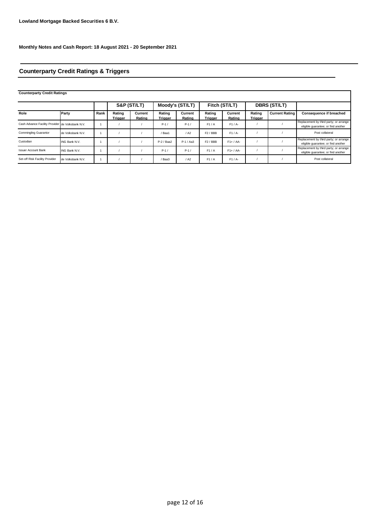## **Counterparty Credit Ratings & Triggers**

**Counterparty Credit Ratings**

|                                                  |                   |      | S&P (ST/LT)       |                   | Moody's (ST/LT)          |                   | Fitch (ST/LT)            |                   | <b>DBRS (ST/LT)</b>      |                       |                                                                               |
|--------------------------------------------------|-------------------|------|-------------------|-------------------|--------------------------|-------------------|--------------------------|-------------------|--------------------------|-----------------------|-------------------------------------------------------------------------------|
| Role                                             | Party             | Rank | Rating<br>Triaaer | Current<br>Rating | Rating<br><b>Trigger</b> | Current<br>Rating | Rating<br><b>Trigger</b> | Current<br>Rating | Rating<br><b>Trigger</b> | <b>Current Rating</b> | <b>Consequence if breached</b>                                                |
| Cash Advance Facility Provider de Volksbank N.V. |                   |      |                   |                   | $P-1/$                   | $P-1/$            | F1/A                     | $F1/A-$           |                          |                       | Replacement by third party; or arrange<br>eligible quarantee; or find another |
| <b>Commingling Guarantor</b>                     | de Volksbank N.V. |      |                   |                   | Baa1                     | / A2              | $F2$ / BBB               | $F1/A-$           |                          |                       | Post collateral                                                               |
| Custodian                                        | ING Bank N.V.     |      |                   |                   | P-2 / Baa2               | $P-1/AA3$         | $F2$ / BBB               | $F1+ / AA-$       |                          |                       | Replacement by third party; or arrange<br>eligible quarantee; or find another |
| <b>Issuer Account Bank</b>                       | ING Bank N.V.     |      |                   |                   | $P-1/$                   | $P-1/$            | F1/A                     | $F1+ / AA-$       |                          |                       | Replacement by third party; or arrange<br>eligible quarantee; or find another |
| Set-off Risk Facility Provider                   | de Volksbank N.V. |      |                   |                   | Baa3                     | / A2              | F1/A                     | $F1/A-$           |                          |                       | Post collateral                                                               |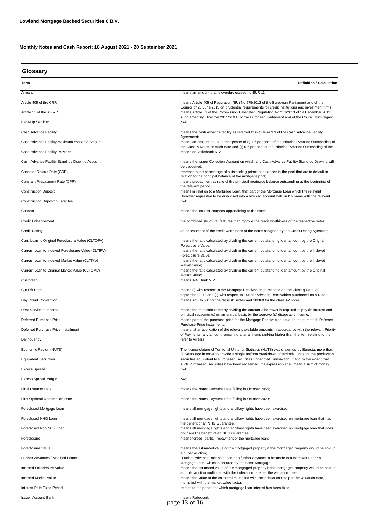| Glossary                                           |                                                                                                                                                                                                        |  |  |  |  |
|----------------------------------------------------|--------------------------------------------------------------------------------------------------------------------------------------------------------------------------------------------------------|--|--|--|--|
| Term                                               | <b>Definition / Calculation</b>                                                                                                                                                                        |  |  |  |  |
| Arrears                                            | means an amount that is overdue exceeding EUR 11;                                                                                                                                                      |  |  |  |  |
| Article 405 of the CRR                             | means Article 405 of Regulation (EU) No 575/2013 of the European Parliament and of the                                                                                                                 |  |  |  |  |
| Article 51 of the AIFMR                            | Council of 26 June 2013 on prudential requirements for credit institutions and investment firms<br>means Article 51 of the Commission Delegated Regulation No 231/2013 of 19 December 2012             |  |  |  |  |
| Back-Up Servicer                                   | supplementing Directive 2011/61/EU of the European Parliament and of the Council with regard<br>N/A;                                                                                                   |  |  |  |  |
| Cash Advance Facility                              | means the cash advance facility as referred to in Clause 3.1 of the Cash Advance Facility                                                                                                              |  |  |  |  |
| Cash Advance Facility Maximum Available Amount     | Agreement;<br>means an amount equal to the greater of (i) 1.6 per cent. of the Principal Amount Outstanding of                                                                                         |  |  |  |  |
| Cash Advance Facility Provider                     | the Class A Notes on such date and (ii) 0.6 per cent of the Principal Amount Outstanding of the<br>means de Volksbank N.V.;                                                                            |  |  |  |  |
| Cash Advance Facility Stand-by Drawing Account     | means the Issuer Collection Account on which any Cash Advance Facility Stand-by Drawing will                                                                                                           |  |  |  |  |
| Constant Default Rate (CDR)                        | be deposited;<br>represents the percentage of outstanding principal balances in the pool that are in default in                                                                                        |  |  |  |  |
| Constant Prepayment Rate (CPR)                     | relation to the principal balance of the mortgage pool;<br>means prepayment as ratio of the principal mortgage balance outstanding at the beginning of                                                 |  |  |  |  |
| <b>Construction Deposit</b>                        | the relevant period;<br>means in relation to a Mortgage Loan, that part of the Mortgage Loan which the relevant                                                                                        |  |  |  |  |
| <b>Construction Deposit Guarantee</b>              | Borrower requested to be disbursed into a blocked account held in his name with the relevant<br>N/A;                                                                                                   |  |  |  |  |
| Coupon                                             | means the interest coupons appertaining to the Notes;                                                                                                                                                  |  |  |  |  |
| <b>Credit Enhancement</b>                          | the combined structural features that improve the credit worthiness of the respective notes.                                                                                                           |  |  |  |  |
| <b>Credit Rating</b>                               | an assessment of the credit worthiness of the notes assigned by the Credit Rating Agencies;                                                                                                            |  |  |  |  |
| Curr. Loan to Original Foreclosure Value (CLTOFV)  | means the ratio calculated by dividing the current outstanding loan amount by the Orignal                                                                                                              |  |  |  |  |
| Current Loan to Indexed Foreclosure Value (CLTIFV) | Foreclosure Value;<br>means the ratio calculated by dividing the current outstanding loan amount by the Indexed                                                                                        |  |  |  |  |
| Current Loan to Indexed Market Value (CLTIMV)      | Foreclosure Value;<br>means the ratio calculated by dividing the current outstanding loan amount by the Indexed                                                                                        |  |  |  |  |
| Current Loan to Original Market Value (CLTOMV)     | Market Value;<br>means the ratio calculated by dividing the current outstanding loan amount by the Original                                                                                            |  |  |  |  |
| Custodian                                          | Market Value;<br>means ING Bank N.V.                                                                                                                                                                   |  |  |  |  |
| Cut-Off Date                                       | means (i) with respect to the Mortgage Receivables purchased on the Closing Date, 30                                                                                                                   |  |  |  |  |
| Day Count Convention                               | september 2018 and (ii) with respect to Further Advance Receivables purchased on a Notes<br>means Actual/360 for the class A1 notes and 30/360 for the class A2 notes;                                 |  |  |  |  |
| Debt Service to Income                             | means the ratio calculated by dividing the amount a borrower is required to pay (in interest and                                                                                                       |  |  |  |  |
| Deferred Purchase Price                            | principal repayments) on an annual basis by the borrower(s) disposable income;<br>means part of the purchase price for the Mortgage Receivables equal to the sum of all Deferred                       |  |  |  |  |
| Deferred Purchase Price Installment                | Purchase Price Instalments;<br>means, after application of the relevant available amounts in accordance with the relevant Priority                                                                     |  |  |  |  |
| Delinquency                                        | of Payments, any amount remaining after all items ranking higher than the item relating to the<br>refer to Arrears;                                                                                    |  |  |  |  |
| Economic Region (NUTS)                             | The Nomenclature of Territorial Units for Statistics (NUTS) was drawn up by Eurostat more than                                                                                                         |  |  |  |  |
| <b>Equivalent Securities</b>                       | 30 years ago in order to provide a single uniform breakdown of territorial units for the production<br>securities equivalent to Purchased Securities under that Transaction. If and to the extent that |  |  |  |  |
| <b>Excess Spread</b>                               | such Purchased Securities have been redeemed, the expression shall mean a sum of money<br>N/A;                                                                                                         |  |  |  |  |
| <b>Excess Spread Margin</b>                        | N/A;                                                                                                                                                                                                   |  |  |  |  |
| <b>Final Maturity Date</b>                         | means the Notes Payment Date falling in October 2055;                                                                                                                                                  |  |  |  |  |
| <b>First Optional Redemption Date</b>              | means the Notes Payment Date falling in October 2023;                                                                                                                                                  |  |  |  |  |
| Foreclosed Mortgage Loan                           | means all mortgage rights and ancillary rights have been exercised;                                                                                                                                    |  |  |  |  |
| Foreclosed NHG Loan                                | means all mortgage rights and ancillary rights have been exercised on mortgage loan that has                                                                                                           |  |  |  |  |
| Foreclosed Non NHG Loan                            | the benefit of an NHG Guarantee;<br>means all mortgage rights and ancillary rights have been exercised on mortgage loan that does                                                                      |  |  |  |  |
| Foreclosure                                        | not have the benefit of an NHG Guarantee;<br>means forced (partial) repayment of the mortgage loan;                                                                                                    |  |  |  |  |
| Foreclosure Value                                  | means the estimated value of the mortgaged property if the mortgaged property would be sold in                                                                                                         |  |  |  |  |
| Further Advances / Modified Loans                  | a public auction;<br>"Further Advance" means a loan or a further advance to be made to a Borrower under a                                                                                              |  |  |  |  |
| Indexed Foreclosure Value                          | Mortgage Loan, which is secured by the same Mortgage;<br>means the estimated value of the mortgaged property if the mortgaged property would be sold in                                                |  |  |  |  |
| Indexed Market Value                               | a public auction multiplied with the indexation rate per the valuation date;<br>means the value of the collateral multiplied with the indexation rate per the valuation date,                          |  |  |  |  |
| Interest Rate Fixed Period                         | multiplied with the market value factor;<br>relates to the period for which mortgage loan interest has been fixed;                                                                                     |  |  |  |  |
|                                                    |                                                                                                                                                                                                        |  |  |  |  |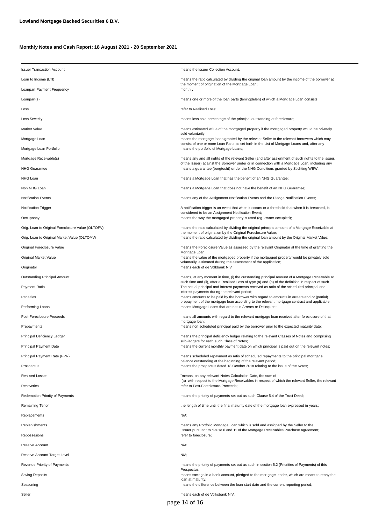| <b>Issuer Transaction Account</b>                 | means the Issuer Collection Account.                                                                                                                                                                                                                                                                                                      |  |  |  |
|---------------------------------------------------|-------------------------------------------------------------------------------------------------------------------------------------------------------------------------------------------------------------------------------------------------------------------------------------------------------------------------------------------|--|--|--|
| Loan to Income (LTI)                              | means the ratio calculated by dividing the original loan amount by the income of the borrower at<br>the moment of origination of the Mortgage Loan;<br>monthly;                                                                                                                                                                           |  |  |  |
| Loanpart Payment Frequency                        |                                                                                                                                                                                                                                                                                                                                           |  |  |  |
| Loanpart(s)                                       | means one or more of the loan parts (leningdelen) of which a Mortgage Loan consists;                                                                                                                                                                                                                                                      |  |  |  |
| Loss                                              | refer to Realised Loss;                                                                                                                                                                                                                                                                                                                   |  |  |  |
| <b>Loss Severity</b>                              | means loss as a percentage of the principal outstanding at foreclosure;                                                                                                                                                                                                                                                                   |  |  |  |
| Market Value                                      | means estimated value of the mortgaged property if the mortgaged property would be privately                                                                                                                                                                                                                                              |  |  |  |
| Mortgage Loan                                     | sold voluntarily;<br>means the mortgage loans granted by the relevant Seller to the relevant borrowers which may                                                                                                                                                                                                                          |  |  |  |
| Mortgage Loan Portfolio                           | consist of one or more Loan Parts as set forth in the List of Mortgage Loans and, after any<br>means the portfolio of Mortgage Loans;                                                                                                                                                                                                     |  |  |  |
| Mortgage Receivable(s)                            | means any and all rights of the relevant Seller (and after assignment of such rights to the Issuer,                                                                                                                                                                                                                                       |  |  |  |
| NHG Guarantee                                     | of the Issuer) against the Borrower under or in connection with a Mortgage Loan, including any<br>means a guarantee (borgtocht) under the NHG Conditions granted by Stichting WEW;                                                                                                                                                        |  |  |  |
| NHG Loan                                          | means a Mortgage Loan that has the benefit of an NHG Guarantee;                                                                                                                                                                                                                                                                           |  |  |  |
| Non NHG Loan                                      | means a Mortgage Loan that does not have the benefit of an NHG Guarantee;                                                                                                                                                                                                                                                                 |  |  |  |
| <b>Notification Events</b>                        | means any of the Assignment Notification Events and the Pledge Notification Events;                                                                                                                                                                                                                                                       |  |  |  |
| Notification Trigger                              | A notification trigger is an event that when it occurs or a threshold that when it is breached, is<br>considered to be an Assignment Notification Event;<br>means the way the mortgaged property is used (eg. owner occupied);                                                                                                            |  |  |  |
| Occupancy                                         |                                                                                                                                                                                                                                                                                                                                           |  |  |  |
| Orig. Loan to Original Foreclosure Value (OLTOFV) | means the ratio calculated by dividing the original principal amount of a Mortgage Receivable at<br>the moment of origination by the Original Foreclosure Value;                                                                                                                                                                          |  |  |  |
| Orig. Loan to Original Market Value (OLTOMV)      | means the ratio calculated by dividing the original loan amount by the Original Market Value;                                                                                                                                                                                                                                             |  |  |  |
| Original Foreclosure Value                        | means the Foreclosure Value as assessed by the relevant Originator at the time of granting the                                                                                                                                                                                                                                            |  |  |  |
| Original Market Value                             | Mortgage Loan;<br>means the value of the mortgaged property if the mortgaged property would be privately sold<br>voluntarily, estimated during the assessment of the application;                                                                                                                                                         |  |  |  |
| Originator                                        | means each of de Volkbank N.V.                                                                                                                                                                                                                                                                                                            |  |  |  |
| Outstanding Principal Amount                      | means, at any moment in time, (i) the outstanding principal amount of a Mortgage Receivable at<br>such time and (ii), after a Realised Loss of type (a) and (b) of the definition in respect of such                                                                                                                                      |  |  |  |
| Payment Ratio                                     | The actual principal and interest payments received as ratio of the scheduled principal and<br>interest payments during the relevant period;<br>means amounts to be paid by the borrower with regard to amounts in arrears and or (partial)<br>prepayment of the mortgage loan according to the relevant mortgage contract and applicable |  |  |  |
| Penalties                                         |                                                                                                                                                                                                                                                                                                                                           |  |  |  |
| Performing Loans                                  | means Mortgage Loans that are not in Arrears or Delinguent;                                                                                                                                                                                                                                                                               |  |  |  |
| Post-Foreclosure Proceeds                         | means all amounts with regard to the relevant mortgage loan received after foreclosure of that<br>mortgage loan;                                                                                                                                                                                                                          |  |  |  |
| Prepayments                                       | means non scheduled principal paid by the borrower prior to the expected maturity date;                                                                                                                                                                                                                                                   |  |  |  |
| Principal Deficiency Ledger                       | means the principal deficiency ledger relating to the relevant Classes of Notes and comprising<br>sub-ledgers for each such Class of Notes;                                                                                                                                                                                               |  |  |  |
| <b>Principal Payment Date</b>                     | means the current monthly payment date on which principal is paid out on the relevant notes;                                                                                                                                                                                                                                              |  |  |  |
| Principal Payment Rate (PPR)                      | means scheduled repayment as ratio of scheduled repayments to the principal mortgage<br>balance outstanding at the beginning of the relevant period;                                                                                                                                                                                      |  |  |  |
| Prospectus                                        | means the prospectus dated 18 October 2018 relating to the issue of the Notes;                                                                                                                                                                                                                                                            |  |  |  |
| <b>Realised Losses</b>                            | "means, on any relevant Notes Calculation Date, the sum of<br>(a) with respect to the Mortgage Receivables in respect of which the relevant Seller, the relevant                                                                                                                                                                          |  |  |  |
| Recoveries                                        | refer to Post-Foreclosure-Proceeds;                                                                                                                                                                                                                                                                                                       |  |  |  |
| Redemption Priority of Payments                   | means the priority of payments set out as such Clause 5.4 of the Trust Deed;                                                                                                                                                                                                                                                              |  |  |  |
| Remaining Tenor                                   | the length of time until the final maturity date of the mortgage loan expressed in years;                                                                                                                                                                                                                                                 |  |  |  |
| Replacements                                      | N/A;                                                                                                                                                                                                                                                                                                                                      |  |  |  |
| Replenishments                                    | means any Portfolio Mortgage Loan which is sold and assigned by the Seller to the<br>Issuer pursuant to clause 6 and 11 of the Mortgage Receivables Purchase Agreement;                                                                                                                                                                   |  |  |  |
| Repossesions                                      | refer to foreclosure;                                                                                                                                                                                                                                                                                                                     |  |  |  |
| Reserve Account                                   | N/A;                                                                                                                                                                                                                                                                                                                                      |  |  |  |
| Reserve Account Target Level                      | N/A;                                                                                                                                                                                                                                                                                                                                      |  |  |  |
| Revenue Priority of Payments                      | means the priority of payments set out as such in section 5.2 (Priorities of Payments) of this<br>Prospectus;                                                                                                                                                                                                                             |  |  |  |
| Saving Deposits                                   | means savings in a bank account, pledged to the mortgage lender, which are meant to repay the<br>loan at maturity;                                                                                                                                                                                                                        |  |  |  |
| Seasoning                                         | means the difference between the loan start date and the current reporting period;                                                                                                                                                                                                                                                        |  |  |  |
| Seller                                            | means each of de Volksbank N.V.                                                                                                                                                                                                                                                                                                           |  |  |  |
|                                                   | page 14 of 16                                                                                                                                                                                                                                                                                                                             |  |  |  |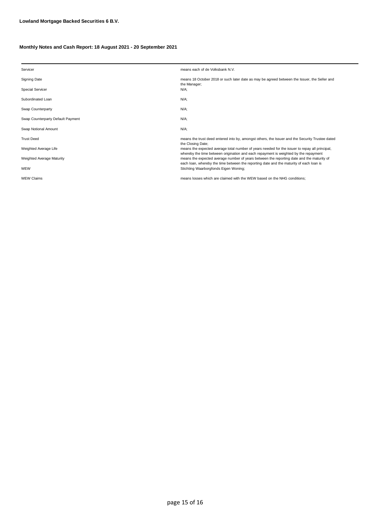| Servicer                          | means each of de Volksbank N.V.                                                                                                                                                        |
|-----------------------------------|----------------------------------------------------------------------------------------------------------------------------------------------------------------------------------------|
| Signing Date                      | means 18 October 2018 or such later date as may be agreed between the Issuer, the Seller and<br>the Manager;                                                                           |
| <b>Special Servicer</b>           | N/A:                                                                                                                                                                                   |
| Subordinated Loan                 | $N/A$ ;                                                                                                                                                                                |
| Swap Counterparty                 | $N/A$ ;                                                                                                                                                                                |
| Swap Counterparty Default Payment | N/A:                                                                                                                                                                                   |
| Swap Notional Amount              | $N/A$ ;                                                                                                                                                                                |
| <b>Trust Deed</b>                 | means the trust deed entered into by, amongst others, the Issuer and the Security Trustee dated<br>the Closing Date;                                                                   |
| Weighted Average Life             | means the expected average total number of years needed for the issuer to repay all principal,<br>whereby the time between origination and each repayment is weighted by the repayment |
| Weighted Average Maturity         | means the expected average number of years between the reporting date and the maturity of<br>each loan, whereby the time between the reporting date and the maturity of each loan is   |
| WEW                               | Stichting Waarborgfonds Eigen Woning;                                                                                                                                                  |
| <b>WEW Claims</b>                 | means losses which are claimed with the WEW based on the NHG conditions:                                                                                                               |